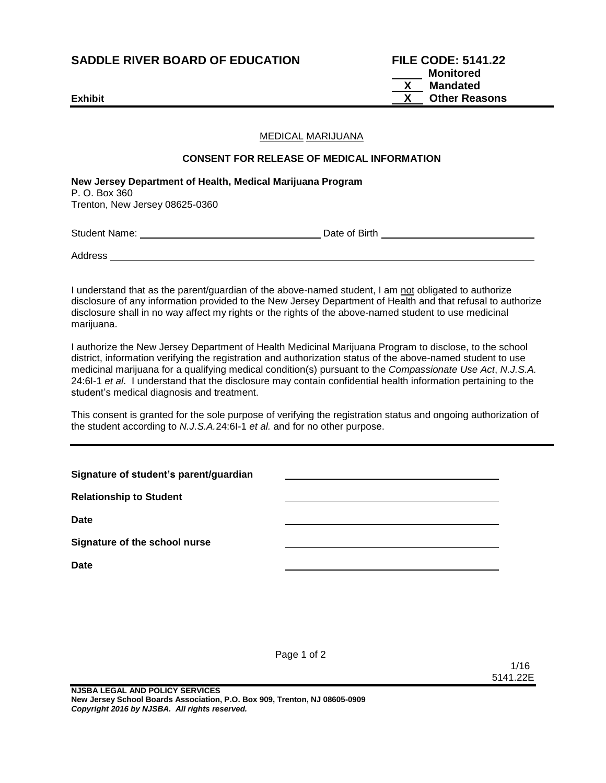# **SADDLE RIVER BOARD OF EDUCATION**

| <b>SADDLE RIVER BOARD OF EDUCATION</b> | <b>FILE CODE: 5141.22</b> |
|----------------------------------------|---------------------------|
|                                        | Monitored                 |
|                                        | Mandated<br>$\mathbf{X}$  |
| <b>Exhibit</b>                         | <b>Other Reasons</b>      |

#### MEDICAL MARIJUANA

#### **CONSENT FOR RELEASE OF MEDICAL INFORMATION**

**New Jersey Department of Health, Medical Marijuana Program** P. O. Box 360 Trenton, New Jersey 08625-0360

Student Name: Date of Birth

**Address** 

I understand that as the parent/guardian of the above-named student, I am not obligated to authorize disclosure of any information provided to the New Jersey Department of Health and that refusal to authorize disclosure shall in no way affect my rights or the rights of the above-named student to use medicinal marijuana.

I authorize the New Jersey Department of Health Medicinal Marijuana Program to disclose, to the school district, information verifying the registration and authorization status of the above-named student to use medicinal marijuana for a qualifying medical condition(s) pursuant to the *Compassionate Use Act*, *N.J.S.A.* 24:6I-1 *et al*. I understand that the disclosure may contain confidential health information pertaining to the student's medical diagnosis and treatment.

This consent is granted for the sole purpose of verifying the registration status and ongoing authorization of the student according to *N.J.S.A.*24:6I-1 *et al.* and for no other purpose.

| Signature of student's parent/guardian |  |
|----------------------------------------|--|
| <b>Relationship to Student</b>         |  |
| <b>Date</b>                            |  |
| Signature of the school nurse          |  |
| <b>Date</b>                            |  |

Page 1 of 2

1/16 5141.22E